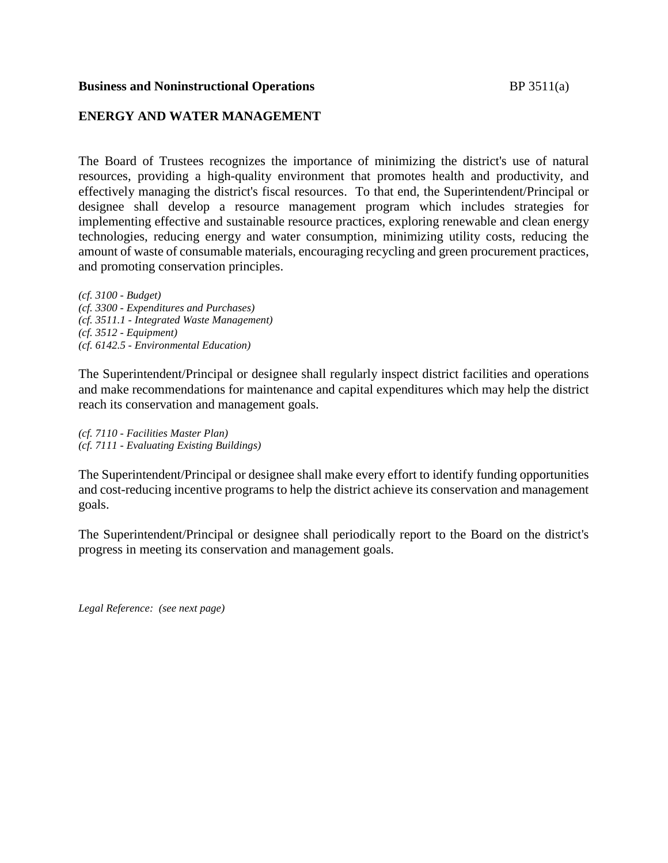#### **Business and Noninstructional Operations** BP 3511(a)

## **ENERGY AND WATER MANAGEMENT**

The Board of Trustees recognizes the importance of minimizing the district's use of natural resources, providing a high-quality environment that promotes health and productivity, and effectively managing the district's fiscal resources. To that end, the Superintendent/Principal or designee shall develop a resource management program which includes strategies for implementing effective and sustainable resource practices, exploring renewable and clean energy technologies, reducing energy and water consumption, minimizing utility costs, reducing the amount of waste of consumable materials, encouraging recycling and green procurement practices, and promoting conservation principles.

*(cf. 3100 - Budget) (cf. 3300 - Expenditures and Purchases) (cf. 3511.1 - Integrated Waste Management) (cf. 3512 - Equipment) (cf. 6142.5 - Environmental Education)*

The Superintendent/Principal or designee shall regularly inspect district facilities and operations and make recommendations for maintenance and capital expenditures which may help the district reach its conservation and management goals.

*(cf. 7110 - Facilities Master Plan) (cf. 7111 - Evaluating Existing Buildings)*

The Superintendent/Principal or designee shall make every effort to identify funding opportunities and cost-reducing incentive programs to help the district achieve its conservation and management goals.

The Superintendent/Principal or designee shall periodically report to the Board on the district's progress in meeting its conservation and management goals.

*Legal Reference: (see next page)*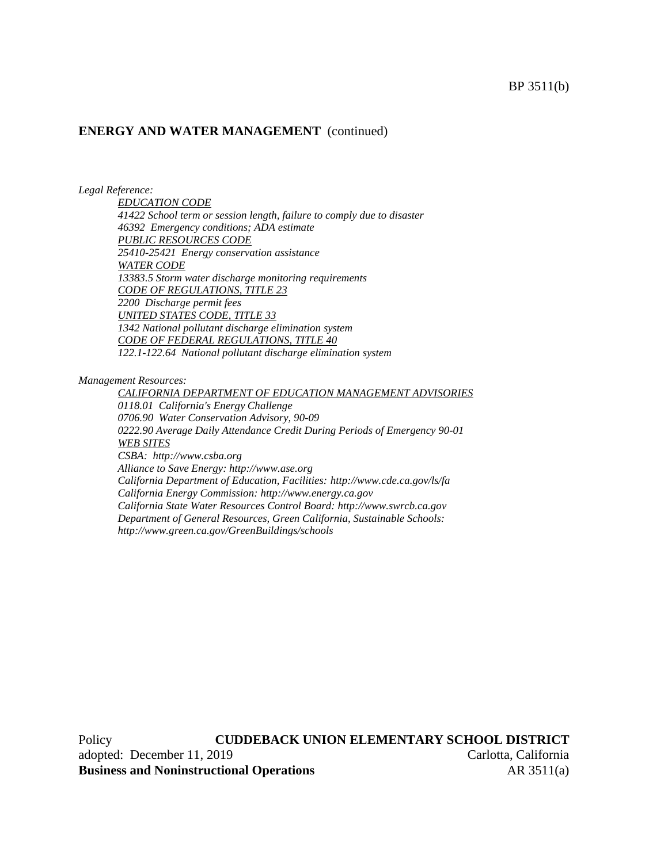#### **ENERGY AND WATER MANAGEMENT** (continued)

*Legal Reference:*

*EDUCATION CODE 41422 School term or session length, failure to comply due to disaster 46392 Emergency conditions; ADA estimate PUBLIC RESOURCES CODE 25410-25421 Energy conservation assistance WATER CODE 13383.5 Storm water discharge monitoring requirements CODE OF REGULATIONS, TITLE 23 2200 Discharge permit fees UNITED STATES CODE, TITLE 33 1342 National pollutant discharge elimination system CODE OF FEDERAL REGULATIONS, TITLE 40 122.1-122.64 National pollutant discharge elimination system*

*Management Resources:*

*CALIFORNIA DEPARTMENT OF EDUCATION MANAGEMENT ADVISORIES 0118.01 California's Energy Challenge 0706.90 Water Conservation Advisory, 90-09 0222.90 Average Daily Attendance Credit During Periods of Emergency 90-01 WEB SITES CSBA: http://www.csba.org Alliance to Save Energy: http://www.ase.org California Department of Education, Facilities: http://www.cde.ca.gov/ls/fa California Energy Commission: http://www.energy.ca.gov California State Water Resources Control Board: http://www.swrcb.ca.gov Department of General Resources, Green California, Sustainable Schools: http://www.green.ca.gov/GreenBuildings/schools*

Policy **CUDDEBACK UNION ELEMENTARY SCHOOL DISTRICT** adopted: December 11, 2019 Carlotta, California **Business and Noninstructional Operations** AR 3511(a)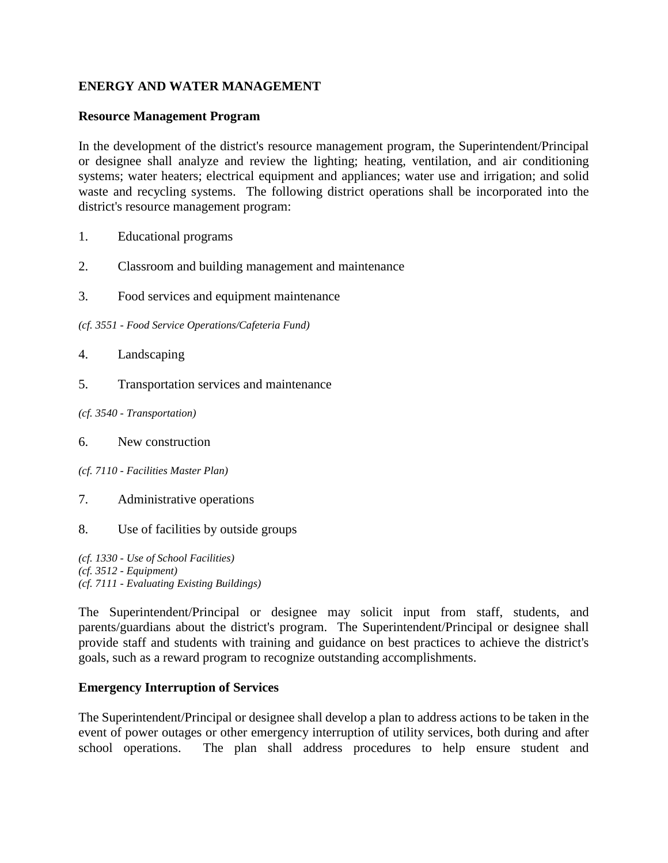# **ENERGY AND WATER MANAGEMENT**

## **Resource Management Program**

In the development of the district's resource management program, the Superintendent/Principal or designee shall analyze and review the lighting; heating, ventilation, and air conditioning systems; water heaters; electrical equipment and appliances; water use and irrigation; and solid waste and recycling systems. The following district operations shall be incorporated into the district's resource management program:

- 1. Educational programs
- 2. Classroom and building management and maintenance
- 3. Food services and equipment maintenance

*(cf. 3551 - Food Service Operations/Cafeteria Fund)*

- 4. Landscaping
- 5. Transportation services and maintenance
- *(cf. 3540 - Transportation)*
- 6. New construction
- *(cf. 7110 - Facilities Master Plan)*
- 7. Administrative operations
- 8. Use of facilities by outside groups

*(cf. 1330 - Use of School Facilities) (cf. 3512 - Equipment) (cf. 7111 - Evaluating Existing Buildings)*

The Superintendent/Principal or designee may solicit input from staff, students, and parents/guardians about the district's program. The Superintendent/Principal or designee shall provide staff and students with training and guidance on best practices to achieve the district's goals, such as a reward program to recognize outstanding accomplishments.

### **Emergency Interruption of Services**

The Superintendent/Principal or designee shall develop a plan to address actions to be taken in the event of power outages or other emergency interruption of utility services, both during and after school operations. The plan shall address procedures to help ensure student and